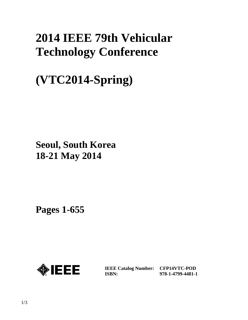## **2014 IEEE 79th Vehicular Technology Conference**

# **(VTC2014-Spring)**

**Seoul, South Korea 18-21 May 2014**

**Pages 1-655** 



**IEEE Catalog Number: CFP14VTC-POD ISBN:** 

**978-1-4799-4481-1**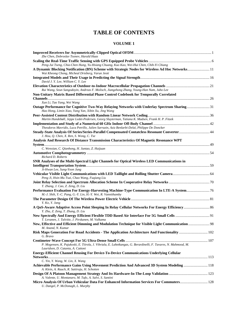### **TABLE OF CONTENTS**

#### **VOLUME 1**

| Zhe Chen, Dobroslav Tsonev, Harald Haas                                                                         |  |
|-----------------------------------------------------------------------------------------------------------------|--|
| Peng-Jui Tseng, Chia-Chen Hung, Yu-Hsiang Chuang, Kuo Kao, Wei-Hui Chen, Chih-Yi Chiang                         |  |
| A Dynamic Blocking Notification (BN) Scheme with Strategic Nodes for Wireless Ad Hoc Networks 11                |  |
| Wai Kheong Chong, Micheal Drieberg, Varun Jeoti                                                                 |  |
|                                                                                                                 |  |
| David J. Y. Lee, William C. Y. Lee                                                                              |  |
|                                                                                                                 |  |
| Rui Wang, Seun Sangodoyin, Andreas F. Molisch, Jiangzhong Zhang, Young-Han Nam, Juho Lee                        |  |
| Non-Unitary Matrix Based Differential Phase Control Codebook for Temporally Correlated                          |  |
|                                                                                                                 |  |
| Xun Li, Tao Yang, Wei Wang                                                                                      |  |
| Outage Performance for Cognitive Two-Way Relaying Networks with Underlay Spectrum Sharing31                     |  |
| Hao Hong, Limin Xiao, Yang Yan, Xibin Xu, Jing Wang                                                             |  |
|                                                                                                                 |  |
| Martin Hundebøll, Jeppe Ledet-Pedersen, Georg Sluyterman, Tatiana K. Madsen, Frank H. P. Fitzek                 |  |
|                                                                                                                 |  |
| Theodoros Mavridis, Luca Petrillo, Julien Sarrazin, Aziz Benlarbi-Delaï, Philippe De Doncker                    |  |
|                                                                                                                 |  |
| J. Hou, Q. Chen, X. Ren, S. Wong, C. Tse                                                                        |  |
| Analysis And Research Of Distance Transmission Characteristics Of Magnetic Resonance WPT                        |  |
|                                                                                                                 |  |
| C. Wenxian, C. Qianhong, H. Juntao, Z. Huijuan                                                                  |  |
|                                                                                                                 |  |
| Richard D. Roberts                                                                                              |  |
| SNR Analyses of the Multi-Spectral Light Channels for Optical Wireless LED Communications in                    |  |
| Ji-Hwan Lee, Sung-Yoon Jung                                                                                     |  |
|                                                                                                                 |  |
| Peng Ji, Hsin-Mu Tsai, Chao Wang, Fuqiang Liu                                                                   |  |
|                                                                                                                 |  |
| T. Zhang, J. Cao, Z. Zeng, D. Liu                                                                               |  |
|                                                                                                                 |  |
| M.-J. Shih, Y.-C. Pang, G.-Y. Lin, H.-Y. Wei, R. Vannithamby                                                    |  |
|                                                                                                                 |  |
| Y. Ko, Y. Jang                                                                                                  |  |
| A QoS-Aware Adaptive Access Point Sleeping In Relay Cellular Networks For Energy Efficiency 86                  |  |
| Y. Zhu, Z. Zeng, T. Zhang, D. Liu                                                                               |  |
|                                                                                                                 |  |
| T. Levanen, J. Talvitie, J. Pirskanen, M. Valkama                                                               |  |
|                                                                                                                 |  |
| M. Anand, N. Kumar                                                                                              |  |
| Risk Maps Generation For Road Accidents - The Application Architecture And Functionality  102                   |  |
| G. Bravo                                                                                                        |  |
|                                                                                                                 |  |
| P. Mogensen, K. Pajukoski, E. Tiirola, J. Vihriala, E. Lahetkangas, G. Berardinelli, F. Tavares, N. Mahmood, M. |  |
| Lauridsen, D. Catania, A. Cattoni                                                                               |  |
| <b>Energy-Efficient Channel Reusing For Device-To-Device Communications Underlying Cellular</b>                 |  |
| C. Yin, Y. Wang, W. Lin, X. Wang                                                                                |  |
| Achievable Performance Gains Using Movement Prediction And Advanced 3D System Modeling 118                      |  |
| A. Klein, A. Rauch, R. Sattiraju, H. Schotten                                                                   |  |
|                                                                                                                 |  |
| A. Valente, U. Montanaro, M. Tufo, A. Salvi, S. Santini                                                         |  |
| Micro Analysis Of Urban Vehicular Data For Enhanced Information Services For Commuters 128                      |  |
| U. Dangel, P. McDonagh, L. Murphy                                                                               |  |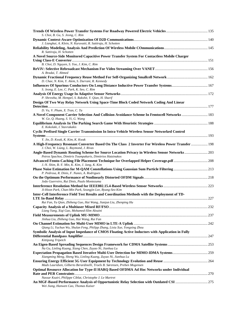| S. Choi, B. Gu, S. Jeong, C. Rim                                                                                                              |  |
|-----------------------------------------------------------------------------------------------------------------------------------------------|--|
|                                                                                                                                               |  |
| J. Lianghai, A. Klein, N. Kuruvatti, R. Sattiraju, H. Schotten                                                                                |  |
| R. Sattiraju, H. Schotten                                                                                                                     |  |
| A Novel Source-Side Monitored Capacitive Power Transfer System For Contactless Mobile Charger                                                 |  |
|                                                                                                                                               |  |
| B. Choi, D. Nguyen, S. Yoo, J. Kim, C. Rim                                                                                                    |  |
| A. Bradai, T. Ahmed                                                                                                                           |  |
|                                                                                                                                               |  |
| D. Chae, N. Kim, Y. Alem, S. Durrani, R. Kennedy                                                                                              |  |
| Influences Of Spurious Conductors On Long Distance Inductive Power Transfer Systems 167                                                       |  |
| S. Jeong, E. Lee, C. Park, K. Seo, C. Rim                                                                                                     |  |
| P. Shrestha, M. Hempel, S. Rakshit, Y. Qian, H. Sharif                                                                                        |  |
| Design Of Two Way Relay Network Using Space-Time Block Coded Network Coding And Linear                                                        |  |
|                                                                                                                                               |  |
| D. Vu, V. Pham, X. Tran, C. Ta                                                                                                                |  |
| A Novel Component Carrier Selection And Collision Avoidance Scheme In Femtocell Networks  183                                                 |  |
| W. Ge, Q. Huang, S. Yi, G. Wang                                                                                                               |  |
| E. Kokolaki, I. Stavrakakis                                                                                                                   |  |
| Cyclic Prefixed Single Carrier Transmission In Intra-Vehicle Wireless Sensor Networked Control                                                |  |
|                                                                                                                                               |  |
| Y. Jin, D. Kwak, K. Kim, K. Kwak                                                                                                              |  |
| A High-Frequency Resonant Converter Based On The Class 2 Inverter For Wireless Power Transfer  198<br>J. Choi, W. Liang, L. Raymond, J. Rivas |  |
| Angle-Based Dynamic Routing Scheme for Source Location Privacy in Wireless Sensor Networks 203                                                |  |
| Petros Spachos, Dimitris Toumpakaris, Dimitrios Hatzinakos                                                                                    |  |
| Advanced Femto-Caching File Placement Technique for Overlapped Helper Coverage.pdf208                                                         |  |
| J.-N. Shim, B.-Y. Min, K. Kim, J. Jang, K. Kim                                                                                                |  |
| Phase Noise Estimation for M-QAM Constellations Using Gaussian Sum Particle Filtering 213                                                     |  |
| P. Pedrosa, R. Dinis, F. Nunes, A. Rodrigues                                                                                                  |  |
| João Guerreiro, Rui Dinis, Paulo Montezuma                                                                                                    |  |
|                                                                                                                                               |  |
| Ji-Hoon Park, Chan-Min Park, Seungjin Lee, Byung-Seo Kim                                                                                      |  |
| Inter-Cell Interference Field Test Results and Coordination Methods with the Deployment of TD-                                                |  |
| Rui Fan, Yu Qian, Zhiheng Guo, Hai Wang, Jianjun Liu, Zhenping Hu                                                                             |  |
|                                                                                                                                               |  |
| Liang Yang, Xiqi Gao, Mohamed-Slim Alouini                                                                                                    |  |
|                                                                                                                                               |  |
| Jinhua Liu, Zhiheng Guo, Hai Wang, Rui Fan                                                                                                    |  |
| Qiang Li, Yuchun Wu, Shulan Feng, Philipp Zhang, Lixia Xue, Yongxing Zhou                                                                     |  |
| Symbolic Analysis of Input Impedance of CMOS Floating Active Inductors with Application in Fully                                              |  |
|                                                                                                                                               |  |
| Kittipong Tripetch                                                                                                                            |  |
| Na Gu, Linling Kuang, Xiang Chen, Zuyao Ni, Jianhua Lu                                                                                        |  |
|                                                                                                                                               |  |
| Xiangming Meng, Sheng Wu, Linling Kuang, Zuyao Ni, Jianhua Lu                                                                                 |  |
|                                                                                                                                               |  |
| Mads Lauridsen, Gilberto Berardinelli, Troels B. Sørensen, Preben Mogensen                                                                    |  |
| Optimal Resource Allocation for Type-II HARQ Based OFDMA Ad Hoc Networks under Individual                                                     |  |
| Nassar Ksairi, Philippe Ciblat, Christophe J. Le Martret                                                                                      |  |
|                                                                                                                                               |  |
| Wei Jiang, Hanwen Cao, Thomas Kaiser                                                                                                          |  |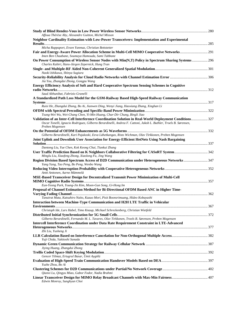| Affoua Thérèse Aby, Alexandre Guitton, Michel Misson                                                                                                                                                                                                                                                                      |  |
|---------------------------------------------------------------------------------------------------------------------------------------------------------------------------------------------------------------------------------------------------------------------------------------------------------------------------|--|
| Neighbor Cardinality Estimation with Low-Power Transceivers: Implementation and Experimental                                                                                                                                                                                                                              |  |
| Micha Rappaport, Evsen Yanmaz, Christian Bettstetter<br>Fair and Energy-Aware Power Allocation Scheme in Multi-Cell MIMO Cooperative Networks291                                                                                                                                                                          |  |
| Imen Ben Chaabane, Soumaya Hamouda, Sami Tabbane<br>On Power Consumption of Wireless Sensor Nodes with Min(N,T) Policy in Spectrum Sharing Systems 296                                                                                                                                                                    |  |
| Charles Kabiri, Hans-Jürgen Zepernick, Hung Tran<br>Naoki Ishikawa, Shinya Sugiura                                                                                                                                                                                                                                        |  |
| Jia You, Zhangdui Zhong, Gongpu Wang                                                                                                                                                                                                                                                                                      |  |
| <b>Energy Efficiency Analysis of Soft and Hard Cooperative Spectrum Sensing Schemes in Cognitive</b><br>Saud Althunibat, Fabrizio Granelli                                                                                                                                                                                |  |
| A Standardized Path Loss Model for the GSM-Railway Based High-Speed Railway Communication                                                                                                                                                                                                                                 |  |
| Ruisi He, Zhangdui Zhong, Bo Ai, Jianwen Ding, Wenyi Jiang, Haoxiang Zhang, Xinghan Li                                                                                                                                                                                                                                    |  |
| Tsung-Wei Wu, Wei-Chang Chen, Yi-Min Huang, Char-Dir Chung, Bingli Jiao<br>Validation of an Inter-Cell Interference Coordination Solution in Real-World Deployment Conditions 327<br>Oscar Tonelli, Ignacio Rodriguez, Gilberto Berardinelli, Andrea F. Cattoni, Jakob L. Buthler, Troels B. Sørensen,<br>Preben Mogensen |  |
| Gilberto Berardinelli, Kari Pajukoski, Eeva Lähetkangas, Risto Wichman, Olav Tirkkonen, Preben Mogensen                                                                                                                                                                                                                   |  |
| Joint Uplink and Downlink User Association for Energy-Efficient HetNets Using Nash Bargaining                                                                                                                                                                                                                             |  |
| Dantong Liu, Yue Chen, Kok Keong Chai, Tiankui Zhang<br>User Traffic Prediction Based on K Neighbors Collaborative Filtering for CASoRT System 342<br>Minglu Liu, Xiaofeng Zhong, Xiaolong Fu, Jing Wang                                                                                                                  |  |
| Region Division Based Spectrum Access of D2D Communication under Heterogeneous Networks347<br>Yang Yang, Tao Peng, Bo Peng, Wenbo Wang                                                                                                                                                                                    |  |
| Antti Anttonen, Aarne Mämmelä                                                                                                                                                                                                                                                                                             |  |
| MSE-Based Transceiver Design for Decentralized Transmit Power Minimization of Multi-Cell<br>Eun-Yeong Park, Young-Jin Kim, Moon-Gun Song, Gi-Hong Im                                                                                                                                                                      |  |
| Proposal of Channel Estimation Method for Bi-Directional OFDM Based ANC in Higher Time-<br>Tanairat Mata, Katsuhiro Naito, Kazuo Mori, Pisit Boonsrimuang, Hideo Kobayashi                                                                                                                                                |  |
| Interaction between Machine-Type Communication and H2H LTE Traffic in Vehicular                                                                                                                                                                                                                                           |  |
| Christoph Ide, Lars Habel, Timo Knaup, Michael Schreckenberg, Christian Wietfeld<br>Gilberto Berardinelli, Fernando M. L. Tavares, Olav Tirkkonen, Troels B. Sørensen, Preben Mogensen                                                                                                                                    |  |
| <b>Intercell Interference Coordination under Data Rate Requirement Constraint in LTE-Advanced</b><br>Zhi Liu, Yusheng Ji                                                                                                                                                                                                  |  |
| Yuji Chida, Yukitoshi Sanada                                                                                                                                                                                                                                                                                              |  |
| Jiying Huang, Zhangdui Zhong                                                                                                                                                                                                                                                                                              |  |
| Gencer Yilmaz, Ertugrul Basar, Ümit Aygölü                                                                                                                                                                                                                                                                                |  |
| Yuzhe Zhou, Bo Ai                                                                                                                                                                                                                                                                                                         |  |
| Qianxi Lu, Qingyu Miao, Gabor Fodor, Nadia Brahmi                                                                                                                                                                                                                                                                         |  |
| Edwin Monroy, Sunghyun Choi                                                                                                                                                                                                                                                                                               |  |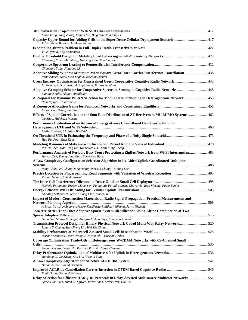| Lihua Pang, Yang Zhang, Yanjun Ma, Bing Lan, Jiandong Li                                                                                                                                                      |  |
|---------------------------------------------------------------------------------------------------------------------------------------------------------------------------------------------------------------|--|
| Capacity Upper Bound for Adding Cells in the Super Dense Cellular Deployment Scenario  417                                                                                                                    |  |
| Yi Wu, Peter Butovitsch, Meng Zhang<br>Ville Syrjälä, Koji Yamamoto                                                                                                                                           |  |
| Chungang Yang, Min Sheng, Haipeng Tian, Jiandong Li                                                                                                                                                           |  |
| Chungang Yang, Jiandong Li                                                                                                                                                                                    |  |
| Rana Ahmed, Nabil Sven Loghin, Joachim Speidel                                                                                                                                                                |  |
| Cross Entropy Optimization for Constrained Green Cooperative Cognitive Radio Network 443<br>M. Naeem, A. S. Khwaja, A. Anpalagan, M. Jaseemuddin                                                              |  |
| Adaptive Grouping Scheme for Cooperative Spectrum Sensing in Cognitive Radio Networks  448<br>Lamiaa Khalid, Alagan Anpalagan                                                                                 |  |
| A Proposal for Dynamic WLAN Selection for Mobile Data Offloading in Heterogeneous Network  453<br>Nam Nguyen, Takuro Sato                                                                                     |  |
| In-Sop Cho, Seung Jun Baek                                                                                                                                                                                    |  |
| Effects of Spatial Correlation on the Sum Rate Distribution of ZF Receivers in MU-MIMO Systems 463<br>Ou Zhao, Hidekazu Murata                                                                                |  |
| Performance Evaluation of an Advanced Energy-Aware Client-Based Handover Solution in<br>Maike Kuhnert, Christian Wietfeld                                                                                     |  |
| Hua Fu, Pooi-Yuen Kam                                                                                                                                                                                         |  |
| Pin-Yu Chen, Han-Feng Lin, Ko-Hsuan Hsu, Shin-Ming Cheng                                                                                                                                                      |  |
| Performance Analysis of Periodic Busy Tones Protecting a ZigBee Network from Wi-Fi Interruption 483<br>Jinwoo Ock, Young-June Choi, Saewoong Bahk                                                             |  |
| A Low Complexity Configuration Selection Algorithm in IA-Aided Uplink Coordinated Multipoint                                                                                                                  |  |
| Ming-Chun Lee, Chung-Jung Huang, Wei-Ho Chung, Ta-Sung Lee                                                                                                                                                    |  |
| Tsuneo Nakata, Shigeki Kawai                                                                                                                                                                                  |  |
| Michele Polignano, Preben Mogensen, Panagiotis Fotiadis, Lucas Chavarria, Ingo Viering, Paolo Zanier                                                                                                          |  |
| Ubolthip Sethakaset, Yeow-Khiang Chia, Sumei Sun                                                                                                                                                              |  |
| Impact of Modern Construction Materials on Radio Signal Propagation: Practical Measurements and                                                                                                               |  |
| Ari Asp, Yaroslav Sydorov, Mikko Keskikastari, Mikko Valkama, Jarno Niemelä<br>Two Are Better Than One: Adaptive Sparse System Identification Using Affine Combination of Two                                 |  |
|                                                                                                                                                                                                               |  |
| Guan Gui, Shinya Kumagai, Abolfazl Mehbodniya, Fumiyuki Adachi<br>Transmission Protocol Design for Binary Physical Network Coded Multi-Way Relay Networks520<br>Ronald Y. Chang, Sian-Jheng Lin, Wei-Ho Chung |  |
|                                                                                                                                                                                                               |  |
| Murat Karabacak, Dexin Wang, Hiroyuki Ishii, Huseyin Arslan<br>Coverage Optimization Trade-Offs in Heterogeneous W-CDMA Networks with Co-Channel Small                                                        |  |
|                                                                                                                                                                                                               |  |
| Stepan Kucera, Lester Ho, Rouzbeh Razavi, Holger Claussen                                                                                                                                                     |  |
| Jiandong Li, Jie Zheng, Qin Liu, Xiaoniu Yang                                                                                                                                                                 |  |
| Hanan Al-Tous, Imad Barhumi                                                                                                                                                                                   |  |
| Rohit Datta, Gerhard Fettweis                                                                                                                                                                                 |  |
| Relay Selection for Efficient HARQ-IR Protocols in Relay-Assisted Multisource Multicast Networks551<br>Quoc-Tuan Vien, Huan X. Nguyen, Purav Shah, Enver Ever, Duc To                                         |  |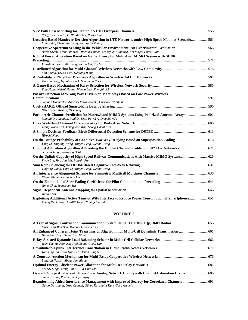| Pengyu Liu, Bo Ai, D. W. Matolak, Ruoyu Sun                                                                                                                                       |  |
|-----------------------------------------------------------------------------------------------------------------------------------------------------------------------------------|--|
| Location-Based Handover Decision Algorithm in LTE Networks under High-Speed Mobility Scenario561<br>Ming-ming Chen, Yan Yang, Zhang-dui Zhong                                     |  |
| Cooperative Spectrum Sensing in the Vehicular Environment: An Experimental Evaluation566<br>Haris Kremo, Onur Altintas, Hideaki Tanaka, Masayuki Kitamura, Kei Inage, Takeo Fujii |  |
| Robust Power Allocation Based on Game Theory for Multi-User MIMO System with SLNR                                                                                                 |  |
|                                                                                                                                                                                   |  |
| Xianzhong Xie, Helin Yang, Weijia Lei, Bin Ma                                                                                                                                     |  |
| Fan Zhang, Yewen Cao, Deqiang Wang                                                                                                                                                |  |
| Taewon Song, Hyunhee Park, Sangheon Pack                                                                                                                                          |  |
| Ying Hong, Kaizhi Huang, Wenyu Luo, Shengbin Lin                                                                                                                                  |  |
| Passive Detection of Wrong Way Drivers on Motorways Based on Low Power Wireless                                                                                                   |  |
|                                                                                                                                                                                   |  |
| Stephan Haendeler, Andreas Lewandowski, Christian Wietfeld                                                                                                                        |  |
| Nikki Broch Ashton, Qi Zhang                                                                                                                                                      |  |
| Parametric Channel Prediction for Narrowband MIMO Systems Using Polarized Antenna Arrays 601<br>Ramoni O. Adeogun, Paul D. Teal, Pawel A. Dmochowski                              |  |
|                                                                                                                                                                                   |  |
| Jeong-Wook Kim, YoungJoon Kim, Seong-Cheol Kim                                                                                                                                    |  |
| Hiroshi Kubo                                                                                                                                                                      |  |
| Yong Li, Tingting Wang, Mugen Peng, Wenbo Wang                                                                                                                                    |  |
| Channel Allocation Algorithm Alleviating the Hidden Channel Problem in 802.11ac Networks 621<br>Seowoo Jang, Saewoong Bahk                                                        |  |
| Ziyue Liu, Jingxian Wu, Pingzhi Fan                                                                                                                                               |  |
| Tingting Wang, Yong Li, Mugen Peng, Wenbo Wang                                                                                                                                    |  |
| Khanh Pham, Kyungchun Lee                                                                                                                                                         |  |
| Jinho Choi, Jeongseok Ha                                                                                                                                                          |  |
|                                                                                                                                                                                   |  |
| Jinho Choi                                                                                                                                                                        |  |
| Exploiting Additional Active Time of WiFi Interface to Reduce Power Consumption of Smartphones 651<br>Young Deok Park, Jae-Pil Jeong, Young-Joo Suh                               |  |

#### **VOLUME 2**

| Mark Chih-Wei Hsu, Michael Hsia-Hsin Li                          |  |
|------------------------------------------------------------------|--|
|                                                                  |  |
| Huan Sun, Jiayi Zhang, Wei Wang                                  |  |
|                                                                  |  |
| Won-Tae Yu, Jeongsik Choi, Seong-Cheol Kim                       |  |
|                                                                  |  |
| Wei-Ting Lin, Chia-Han Lee, Hsuan-Jung Su                        |  |
|                                                                  |  |
| Bahareh Nazari, Abbas Jamalipour                                 |  |
|                                                                  |  |
| Keshav Singh, Meng-Lin Ku, Jia-Chin Lin                          |  |
|                                                                  |  |
| Suneel Yadav, Prabhat K. Upadhyay                                |  |
| Guido Dartmann, Özge Cepheli, Günes Karabulut Kurt, Gerd Ascheid |  |
|                                                                  |  |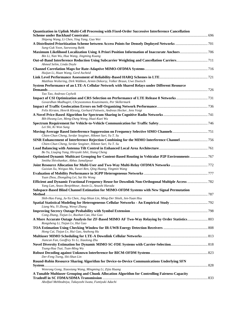| Quantization in Uplink Multi-Cell Processing with Fixed-Order Successive Interference Cancellation                                                        |  |
|-----------------------------------------------------------------------------------------------------------------------------------------------------------|--|
| Shipeng Wang, Li Chen, Ying Yang, Guo Wei                                                                                                                 |  |
| Sung-Guk Yoon, Saewoong Bahk                                                                                                                              |  |
| Bin Li, Nan Wu, Hua Wang, Jingming Kuang                                                                                                                  |  |
| Ahmed Selim, Linda Doyle                                                                                                                                  |  |
| Huijun Li, Huan Wang, Gerd Ascheid                                                                                                                        |  |
| Matthias Woltering, Dirk Wübben, Armin Dekorsy, Volker Braun, Uwe Doetsch                                                                                 |  |
| System Performance of an LTE-A Cellular Network with Shared Relays under Different Resource                                                               |  |
| Tao Tao, Andreas Czylwik<br>Govardhan Madhugiri, Chrysostomos Koutsimanis, Per Skillermark                                                                |  |
|                                                                                                                                                           |  |
| Felix Kirsten, Henrik Klessig, Gerhard Fettweis, Andreas Hecker, Jens Voigt                                                                               |  |
|                                                                                                                                                           |  |
| Bih-Hwang Lee, Meng-Dung Weng, Huai-Kuei Wu                                                                                                               |  |
| Lei Shi, Ki Won Sung                                                                                                                                      |  |
| Chien-Chun Cheng, Serdar Sezginer, Hikmet Sari, Yu T. Su                                                                                                  |  |
| Chien-Chun Cheng, Serdar Sezginer, Hikmet Sari, Yu T. Su                                                                                                  |  |
| Bo Yu, Liuqing Yang, Hiroyuki Ishii, Xiang Cheng                                                                                                          |  |
| Optimized Dynamic Multicast Grouping for Content-Based Routing in Vehicular P2P Environments  767<br>Smitha Shivshankar, Abbas Jamalipour                 |  |
| Guixian Xu, Weiguo Ma, Yuwei Ren, Qing Huang, Yingmin Wang                                                                                                |  |
| Yuan Zhou, Zhongding Lei, Sai Ho Wong                                                                                                                     |  |
| Efficient and Dynamic Fractional Frequency Reuse for Downlink Non-Orthogonal Multiple Access  782<br>Yang Lan, Anass Benjebbour, Anxin Li, Atsushi Harada |  |
| Subspace-Based Blind Channel Estimation for MIMO-OFDM Systems with New Signal Permutation                                                                 |  |
| Shih-Hao Fang, Ju-Ya Chen, Jing-Shiun Lin, Ming-Der Shieh, Jen-Yuan Hsu<br>Liang Wu, Yi Zhong, Wenyi Zhang                                                |  |
| Cong Zhang, Tiejun Lv, Ruohan Cao, Hui Gao                                                                                                                |  |
| A More Accurate Outage Analysis for ZF-Based MIMO AF Two-Way Relaying by Order Statistics 803<br>Rongsheng Li, Tiejun Lv, Hui Gao                         |  |
| Hong Cai, Tiejun Lv, Hui Gao, Anzhong Hu                                                                                                                  |  |
| Jiancun Fan, Geoffrey Ye Li, Xiaolong Zhu                                                                                                                 |  |
| Tsung-Hua Tsai, Tsan-Ming Wu                                                                                                                              |  |
| Der-Feng Tseng, Shi-Shun Lin                                                                                                                              |  |
| Round-Robin Resource Sharing Algorithm for Device-to-Device Communications Underlying SFN                                                                 |  |
| Wenrong Gong, Xiaoxiang Wang, Mingming Li, Zijia Huang<br>A Tunable Multiuser Grouping and Chunk Allocation Algorithm for Controlling Fairness-Capacity   |  |
|                                                                                                                                                           |  |
| Abolfazl Mehbodniya, Takayoshi Iwata, Fumiyuki Adachi                                                                                                     |  |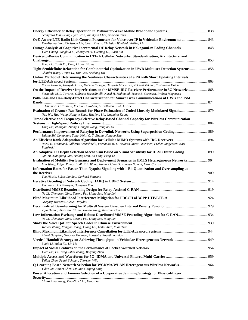| Seonghwa Yun, Seung Hyun Jeon, Jun Kyun Choi, Ae-Soon Park                                                                                                                           |  |
|--------------------------------------------------------------------------------------------------------------------------------------------------------------------------------------|--|
|                                                                                                                                                                                      |  |
| Ren-Huang Liou, Christoph Ide, Bjoern Dusza, Christian Wietfeld, Yi-Bing Lin                                                                                                         |  |
| Yuan Chang, Yonghua Li, Zhongwei Si, Yueming Lu, Jiaru Lin                                                                                                                           |  |
| Device-to-Device Communication in LTE-A Cellular Networks: Standardization, Architecture, and                                                                                        |  |
|                                                                                                                                                                                      |  |
| Yong Liu, Yanli Xu, Dong Li, Wei Wang                                                                                                                                                |  |
| Tight Semidefinite Relaxation for Combinatorial Optimization in UWB Multiuser Detection Systems  858<br>Chanfei Wang, Tiejun Lv, Hui Gao, Anzhong Hu                                 |  |
| Online Method of Determining the Nonlinear Characteristics of a PA with Short Updating Intervals                                                                                     |  |
|                                                                                                                                                                                      |  |
| Eisuke Fukuda, Yasuyuki Oishi, Daisuke Takago, Hiroyuki Morikawa, Takeshi Takano, Yoshimasa Daido                                                                                    |  |
| Fernando M. L. Tavares, Gilberto Berardinelli, Nurul H. Mahmood, Troels B. Sørensen, Preben Mogensen                                                                                 |  |
| Path-Loss and Car-Body-Effect Characterization for Smart Tires Communications at UWB and ISM                                                                                         |  |
|                                                                                                                                                                                      |  |
| S. Ghamari, G. Tasselli, Y. Guo, C. Robert, C. Botteron, P.-A. Farine                                                                                                                |  |
|                                                                                                                                                                                      |  |
| Nan Wu, Hua Wang, Hongjie Zhao, Huafeng Liu, Jingming Kuang                                                                                                                          |  |
| Time-Selective and Frequency-Selective Relay-Based Channel Capacity for Wireless Communication                                                                                       |  |
|                                                                                                                                                                                      |  |
| Yang Liu, Zhangdui Zhong, Gongpu Wang, Rongtao Xu                                                                                                                                    |  |
| Sulong Shi, Longxiang Yang, Keith Q. T. Zhang, Hongbo Zhu                                                                                                                            |  |
|                                                                                                                                                                                      |  |
| Nurul H. Mahmood, Gilberto Berardinelli, Fernando M. L. Tavares, Mads Lauridsen, Preben Mogensen, Kari<br>Pajukoski                                                                  |  |
| An Adaptive CU Depth Selection Mechanism Based on Visual Sensitivity for HEVC Inter Coding 899<br>Qin Tu, Xiaoqiang Guo, Aidong Men, Bo Yang, Feng Ye                                |  |
| Evaluation of Mobility Performance and Deployment Scenarios in UMTS Heterogeneous Networks 904<br>Min Wang, Edgar Ramos, Y.-P. Eric Wang, Namir Lidian, Sairamesh Nammi, Mark Curran |  |
| Information Rates for Faster-Than-Nyquist Signaling with 1-Bit Quantization and Oversampling at                                                                                      |  |
| Tim Hälsig, Lukas Landau, Gerhard Fettweis                                                                                                                                           |  |
|                                                                                                                                                                                      |  |
| Yue Wu, L. A. Olawoyin, Hongwen Yang                                                                                                                                                 |  |
|                                                                                                                                                                                      |  |
| Na Li, Chengwen Xing, Zesong Fei, Liang Sun, Ming Lei                                                                                                                                |  |
|                                                                                                                                                                                      |  |
| Gregory Morozov, Alexei Davydov                                                                                                                                                      |  |
| Zijia Huang, Xiaoxiang Wang, Xianan Wang, Wenrong Gong                                                                                                                               |  |
|                                                                                                                                                                                      |  |
| Na Li, Chengwen Xing, Zesong Fei, Liang Sun, Ming Lei                                                                                                                                |  |
| Weiwei Zhang, Yongyu Chang, Yitong Liu, Leilei Xiao, Yuan Tian                                                                                                                       |  |
|                                                                                                                                                                                      |  |
| Alexei Davydov, Gregory Morozov, Apostolos Papathanassiou                                                                                                                            |  |
| Limin Li, Yubin Xu, Lin Ma                                                                                                                                                           |  |
|                                                                                                                                                                                      |  |
| Yuan Liu, Fei Yang, Sihai Zhang, Wuyang Zhou                                                                                                                                         |  |
| Yejian Chen, Frank Schaich, Thorsten Wild                                                                                                                                            |  |
| Q-Learning Based Network Selection for WCDMA/WLAN Heterogeneous Wireless Networks 964<br>Yubin Xu, Jiamei Chen, Lin Ma, Gaiping Lang                                                 |  |
| Power Allocation and Jammer Selection of a Cooperative Jamming Strategy for Physical-Layer                                                                                           |  |
|                                                                                                                                                                                      |  |
| Chin-Liang Wang, Ting-Nan Cho, Feng Liu                                                                                                                                              |  |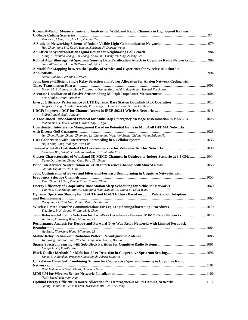| Ricean K-Factor Measurements and Analysis for Wideband Radio Channels in High-Speed Railway                                                                                                                                          |  |
|--------------------------------------------------------------------------------------------------------------------------------------------------------------------------------------------------------------------------------------|--|
| Tao Zhou, Cheng Tao, Liu Liu, Zhenhui Tan                                                                                                                                                                                            |  |
| Hua Zhao, Yang Liu, Kaizhi Huang, Xinsheng Ji, Dapeng Wang                                                                                                                                                                           |  |
|                                                                                                                                                                                                                                      |  |
| Xiang Ji, Yuantao Zhang, Zhi Zhang, Kodo Shu, Chengwen Xing, Zesong Fei<br>Robust Algorithm against Spectrum Sensing Data Falsification Attack in Cognitive Radio Networks 989<br>Saud Althunibat, Marco Di Renzo, Fabrizio Granelli |  |
| A Model for Mapping between the Quality of Service and Experience for Wireless Multimedia                                                                                                                                            |  |
| Daniel Robalo, Fernando J. Velez                                                                                                                                                                                                     |  |
| Joint Energy-Efficient Single Relay Selection and Power Allocation for Analog Network Coding with                                                                                                                                    |  |
| Basem M. ElHalawany, Maha Elsabrouty, Osamu Muta, Adel Abdelrahman, Hiroshi Furukawa                                                                                                                                                 |  |
| Eric Slottke, Armin Wittneben                                                                                                                                                                                                        |  |
| Jung-Fu Cheng, Havish Koorapaty, Pål Frenger, Daniel Larsson, Sorour Falahati                                                                                                                                                        |  |
|                                                                                                                                                                                                                                      |  |
| Indira Paudel, Badii Jouaber                                                                                                                                                                                                         |  |
| A Tone-Based Time-Slotted Protocol for Multi-Hop Emergency Message Dissemination in VANETs 1023<br>Muhammad A. Javed, Jamil Y. Khan, Duy T. Ngo                                                                                      |  |
| <b>Coordinated Interference Management Based on Potential Game in MultiCell OFDMA Networks</b>                                                                                                                                       |  |
| Jun Zhao, Haijun Zhang, Zhaoming Lu, Xiangming Wen, Wei Zheng, Xidong Wang, Zhiqun Hu                                                                                                                                                |  |
| Hojin Song, Jong Yeol Ryu, Wan Choi                                                                                                                                                                                                  |  |
| Celimuge Wu, Satoshi Ohzahata, Yusheng Ji, Toshihiko Kato                                                                                                                                                                            |  |
| Cluster Characteristics of Wideband 3D MIMO Channels in Outdoor-to-Indoor Scenario at 3.5 GHz  1044<br>Detao Du, Jianhua Zhang, Chun Pan, Chi Zhang                                                                                  |  |
| Ou Bai, Tiejun Lv, Hui Gao                                                                                                                                                                                                           |  |
| Joint Optimization of Power and Filter-and-Forward Beamforming in Cognitive Networks with<br>Peng Zhang, Li Guo, Tianyu Kang, Jianwei Zhang                                                                                          |  |
|                                                                                                                                                                                                                                      |  |
| Tao Han, Zijie Zhang, Min Hu, Guoqiang Mao, Xiaohu Ge, Qiang Li, Lijun Wang<br>Dynamic Spectrum Sharing for TD-LTE and FD-LTE Users Based on Joint Polarization Adaption                                                             |  |
|                                                                                                                                                                                                                                      |  |
| Dongming Li, Caili Guo, Zhimin Zeng, Xiaolin Lin                                                                                                                                                                                     |  |
| Y. L. Sum, B. H. Soong, W. Liu, M. S. Chen                                                                                                                                                                                           |  |
| Joint Relay-and-Antenna Selection for Two-Way Decode-and-Forward MIMO Relay Networks  1075<br>Jia Zhou, Xiaoxiang Wang, Mingming Li                                                                                                  |  |
| Performance Analysis for Decode-and-Forward Two-Way Relay Networks with Limited Feedback                                                                                                                                             |  |
| Jia Zhou, Xiaoxiang Wang, Mingming Li                                                                                                                                                                                                |  |
| Wei Wang, Shaowei Liao, Wei Ni, Gang Shen, Xun Li, Bei Jia                                                                                                                                                                           |  |
| Meng-Lin Ku, Xun-Ru Yin                                                                                                                                                                                                              |  |
| Sanket S. Kalamkar, Praveen Kumar Singh, Adrish Banerjee                                                                                                                                                                             |  |
| <b>Correlation Based Soft Combining Scheme for Cooperative Spectrum Sensing in Cognitive Radio</b>                                                                                                                                   |  |
| Dost Muhammad Saqib Bhatti, Haewoon Nam                                                                                                                                                                                              |  |
| Nasir Saeed, Haewoon Nam                                                                                                                                                                                                             |  |
| <b>Optimal Energy Efficient Resource Allocation for Heterogeneous Multi-Homing Networks 1112</b><br>Quang-Doanh Vu, Le-Nam Tran, Markku Juntti, Een-Kee Hong                                                                         |  |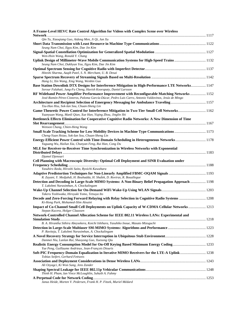| A Frame-Level HEVC Rate Control Algorithm for Videos with Complex Scene over Wireless                                                                                                                   |  |
|---------------------------------------------------------------------------------------------------------------------------------------------------------------------------------------------------------|--|
| Qin Tu, Xiaoqiang Guo, Aidong Men, Ji Qi, Jun Xu                                                                                                                                                        |  |
|                                                                                                                                                                                                         |  |
| Seung Nam Choi, Ilgyu Kim, Dae Jin Kim                                                                                                                                                                  |  |
| Wen-Hsin Wang, Ronald Y. Chang                                                                                                                                                                          |  |
| Uplink Design of Millimeter-Wave Mobile Communication Systems for High-Speed Trains  1132<br>Seung Nam Choi, Dukhyun You, Ilgyu Kim, Dae Jin Kim                                                        |  |
|                                                                                                                                                                                                         |  |
| Hiteshi Sharma, Aaqib Patel, S. N. Merchant, U. B. Desai                                                                                                                                                |  |
|                                                                                                                                                                                                         |  |
| Hang Li, Xin Wang, Xing Wang, Wenbin Guo                                                                                                                                                                |  |
| Base Station Downlink DTX Designs for Interference Mitigation in High-Performance LTE Networks 1147<br>Sorour Falahati, Jung-Fu Cheng, Havish Koorapaty, Daniel Larsson                                 |  |
| RF Wideband Power Amplifier Performance Improvement with Reconfigurable Matching Networks  1152<br>José-Ramón Pérez-Cisneros, Paloma García-Dúcar, Pedro Luis Carro, Antonio Valdovinos, Jesús de Mingo |  |
|                                                                                                                                                                                                         |  |
| Tzu-Hao Hsu, Sok-Ian Sou, Chuan-Sheng Lin                                                                                                                                                               |  |
| Game-Theoretic Power Control for Interference Mitigation in Two-Tier Small Cell Networks 1162                                                                                                           |  |
| Yuanyuan Wang, Manli Qian, Xue Han, Yiqing Zhou, Jinglin Shi                                                                                                                                            |  |
| Bottleneck Effects Elimination for Cooperative Cognitive Radio Networks: A New Dimension of Time                                                                                                        |  |
| Wenson Chang, Chien-Heng Wang                                                                                                                                                                           |  |
|                                                                                                                                                                                                         |  |
| Cheng-Yuan Hsiao, Sok-Ian Sou, Chuan-Sheng Lin                                                                                                                                                          |  |
| Yaguang Wu, Hailun Xia, Chunyan Feng, Rui Han, Cong Du                                                                                                                                                  |  |
| MLE for Receiver-to-Receiver Time Synchronization in Wireless Networks with Exponential                                                                                                                 |  |
|                                                                                                                                                                                                         |  |
| Djamel Djenouri                                                                                                                                                                                         |  |
| Cell Planning with Macroscopic Diversity: Optimal Cell Deployment and SINR Evaluation under                                                                                                             |  |
| Yasuhiro Ikeda, Hiroshi Saito, Ryoichi Kawahara                                                                                                                                                         |  |
|                                                                                                                                                                                                         |  |
| R. Zayani, Y. Medjahdi, H. Bouhadda, H. Shalek, D. Roviras, R. Bouallegue                                                                                                                               |  |
| Detection and Decoding in Large-Scale MIMO Systems: A Non-Binary Belief Propagation Approach  1198<br>T. Lakshmi Narasimhan, A. Chockalingam                                                            |  |
|                                                                                                                                                                                                         |  |
| Takeru Yoshiwaka, Hiroyuki Yomo, Tetsuya Ito                                                                                                                                                            |  |
| Decode and Zero-Forcing Forward Relaying with Relay Selection in Cognitive Radio Systems  1208<br>Ki-Hong Park, Mohamed-Slim Alouini                                                                    |  |
| Impact of Co-Channel Small Cell Deployments on Uplink Capacity of W-CDMA Cellular Networks 1213                                                                                                         |  |
| Stepan Kucera, Holger Claussen                                                                                                                                                                          |  |
| Network-Controlled Channel Allocation Scheme for IEEE 802.11 Wireless LANs: Experimental and                                                                                                            |  |
| B. A. Hirantha Sithira Abeysekera, Koichi Ishihara, Yasuhiko Inoue, Masato Mizoguchi                                                                                                                    |  |
|                                                                                                                                                                                                         |  |
| P. Raviteja, T. Lakshmi Narasimhan, A. Chockalingam                                                                                                                                                     |  |
| Danmei Niu, Lanlan Rui, Shaoyong Guo, Xuesong Qiu                                                                                                                                                       |  |
|                                                                                                                                                                                                         |  |
| Yue Peng, Guillaume Andrieux, Jean-François Diouris                                                                                                                                                     |  |
| Soft-PIC Frequency-Domain Equalization in Iterative MIMO Receivers for the LTE-A Uplink 1238<br>Tobias Seifert, Gerhard Fettweis                                                                        |  |
|                                                                                                                                                                                                         |  |
| Ali Ozyagci, Ki Won Sung, Jens Zander                                                                                                                                                                   |  |
|                                                                                                                                                                                                         |  |
| Thinh H. Pham, Ian Vince McLoughlin, Suhaib A. Fahmy                                                                                                                                                    |  |
| Janus Heide, Morten V. Pedersen, Frank H. P. Fitzek, Muriel Médard                                                                                                                                      |  |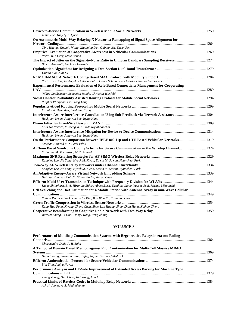| Jemin Lee, Tony Q. S. Quek                                                                                                   |  |
|------------------------------------------------------------------------------------------------------------------------------|--|
| On Asymmetric Multi-Way Relaying X Networks: Remapping of Signal Space Alignment for                                         |  |
|                                                                                                                              |  |
| Qing Huang, Yingmin Wang, Xiaoming Dai, Guixian Xu, Yuwei Ren                                                                |  |
|                                                                                                                              |  |
| Pedro M. d'Orey, Mate Boban                                                                                                  |  |
| Bjoern Almeroth, Gerhard Fettweis                                                                                            |  |
| Yaqiao Luo, Kun Xu                                                                                                           |  |
|                                                                                                                              |  |
| Pol Torres Compta, Angelos Antonopoulos, Gerrit Schulte, Luis Alonso, Christos Verikoukis                                    |  |
| <b>Experimental Performance Evaluation of Role-Based Connectivity Management for Cooperating</b>                             |  |
|                                                                                                                              |  |
| Niklas Goddemeier, Sebastian Rohde, Christian Wietfeld                                                                       |  |
|                                                                                                                              |  |
| Pitiphol Pholpabu, Lie-Liang Yang                                                                                            |  |
|                                                                                                                              |  |
| Ibrahim A. Hemadeh, Lie-Liang Yang                                                                                           |  |
|                                                                                                                              |  |
| Hyukjoon Kwon, Jungwon Lee, Inyup Kang                                                                                       |  |
|                                                                                                                              |  |
| Kulit Na Nakorn, Yusheng Ji, Kultida Rojviboonchai                                                                           |  |
| Hyukjoon Kwon, Jungwon Lee, Inyup Kang                                                                                       |  |
| On the Performance Comparison between IEEE 802.11p and LTE-Based Vehicular Networks 1319<br>Zeeshan Hameed Mir, Fethi Filali |  |
| A Chain Based Syndrome Coding Scheme for Secure Communication in the Wiretap Channel 1324                                    |  |
| K. Zhang, M. Tomlinson, M. Z. Ahmed                                                                                          |  |
|                                                                                                                              |  |
| Kanghee Lee, Jie Yang, Hyuck M. Kwon, Edwin M. Sawan, Hyuncheol Park                                                         |  |
|                                                                                                                              |  |
| Kanghee Lee, Jie Yang, Hyuck M. Kwon, Edwin M. Sawan, Hyuncheol Park                                                         |  |
|                                                                                                                              |  |
| Hui Liu, Hongyan Cui, Jia Wang, Bo Lu, Jianya Chen                                                                           |  |
|                                                                                                                              |  |
| Shoko Shinohara, B. A. Hirantha Sithira Abeysekera, Yasuhiko Inoue, Yusuke Asai, Masato Mizoguchi                            |  |
| Cell Searching and DoA Estimation for a Mobile Station with Antenna Array in mm-Wave Cellular                                |  |
|                                                                                                                              |  |
| Rothna Pec, Kyu Seok Kim, In Su Kim, Bon Woo Ku, Yong Soo Cho                                                                |  |
|                                                                                                                              |  |
| Kang-Hao Peng, Kwang-Cheng Chen, Shao-Lun Huang, Shao-Chou Hung, Xinhao Cheng                                                |  |
| Jianwei Zhang, Li Guo, Tianyu Kang, Peng Zhang                                                                               |  |

#### **VOLUME 3**

| Performance of Multihop Communication Systems with Regenerative Relays in eta-mu Fading  |  |
|------------------------------------------------------------------------------------------|--|
|                                                                                          |  |
| Dharmendra Dixit, P. R. Sahu                                                             |  |
| A Temporal Domain Based Method against Pilot Contamination for Multi-Cell Massive MIMO   |  |
|                                                                                          |  |
| Hualei Wang, Zhengang Pan, Jiqing Ni, Sen Wang, Chih-Lin I                               |  |
|                                                                                          |  |
| Bidi Ying, Amiya Nayak                                                                   |  |
| Performance Analysis and UE-Side Improvement of Extended Access Barring for Machine Type |  |
|                                                                                          |  |
| Zhang Zhang, Hua Chao, Wei Wang, Xun Li                                                  |  |
|                                                                                          |  |
| Ashish James, A. S. Madhukumar                                                           |  |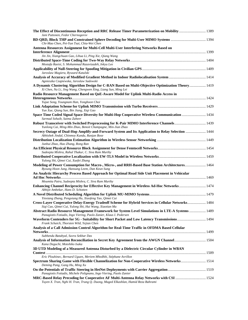| The Effect of Discontinuous Reception and RRC Release Timer Parameterization on Mobility  1389<br>Jani Puttonen, Fedor Chernogorov                                 |  |
|--------------------------------------------------------------------------------------------------------------------------------------------------------------------|--|
| Chi-Mao Chen, Pei-Yun Tsai, Chia-Wei Chen                                                                                                                          |  |
| Antenna Resources Assignment for Multi-Cell Multi-User Interfering Networks Based on                                                                               |  |
|                                                                                                                                                                    |  |
| Jin Jin, Xiangchuan Gao, Lihua Li, Ping Xie, Qiang Wang                                                                                                            |  |
| Mostafa Raeisi, S. Mohammad Razavizadeh, Inkyu Lee                                                                                                                 |  |
| Jaroslaw Magiera, Ryszard Katulski                                                                                                                                 |  |
|                                                                                                                                                                    |  |
| Agnieszka Czapiewska, Jaroslaw Sadowski                                                                                                                            |  |
| A Dynamic Clustering Algorithm Design for C-RAN Based on Multi-Objective Optimization Theory 1419<br>Xi Chen, Na Li, Jing Wang, Chengwen Xing, Liang Sun, Ming Lei |  |
| Radio Resource Management Based on QoE-Aware Model for Uplink Multi-Radio Access in                                                                                |  |
| Yujae Song, Youngnam Han, Yonghoon Choi                                                                                                                            |  |
|                                                                                                                                                                    |  |
| Yun Xue, Qiang Sun, Bin Jiang, Xiqi Gao                                                                                                                            |  |
| Space Time Coded Signal Space Diversity for Multi-Hop Cooperative Wireless Communication  1434                                                                     |  |
| Sarmad Sohaib, Saima Zaheer                                                                                                                                        |  |
| Yunlong Cai, Ming-Min Zhao, Benoit Champagne, Min-Jian Zhao                                                                                                        |  |
| Secrecy Outage of Dual-Hop Amplify-and-Forward System and Its Application to Relay Selection  1444                                                                 |  |
| Abhishek Jindal, Chinmoy Kundu, Ranjan Bose                                                                                                                        |  |
| Junhui Zhao, Hao Zhang, Rong Ran                                                                                                                                   |  |
|                                                                                                                                                                    |  |
| Sudeepta Mishra, Rahul Thakur, C. Siva Ram Murthy                                                                                                                  |  |
| Yulong Shi, Qimei Cui, Xuefei Zhang                                                                                                                                |  |
| Modeling of Power Consumption for Macro-, Micro-, and RRH-Based Base Station Architectures 1464<br>Byoung Hoon Jung, Hansung Leem, Dan Keun Sung                   |  |
| An Analytic Hierarchy Process Based Approach for Optimal Road Side Unit Placement in Vehicular                                                                     |  |
|                                                                                                                                                                    |  |
| Moumita Patra, Sudeepta Mishra, C. Siva Ram Murthy                                                                                                                 |  |
| Enhancing Channel Reciprocity for Effective Key Management in Wireless Ad-Hoc Networks 1474<br>Abhijit Ambekar, Hans D. Schotten                                   |  |
|                                                                                                                                                                    |  |
| Yinxiang Zhang, Pengxiang Hu, Xiaofeng Tao, Qimei Cui<br>Cross-Layer Cooperative Delay-Energy Tradeoff Scheme for Hybrid Services in Cellular Networks 1484        |  |
| Siqi Cao, Qimei Cui, Yulong Shi, Hui Wang, Xiaotian Ma                                                                                                             |  |
| Abstract Radio Resource Management Framework for System Level Simulations in LTE-A Systems  1489                                                                   |  |
| Panagiotis Fotiadis, Ingo Viering, Paolo Zanier, Klaus I. Pedersen                                                                                                 |  |
| Waveform Contenders for 5G - Suitability for Short Packet and Low Latency Transmissions 1494<br>Frank Schaich, Thorsten Wild, Yejian Chen                          |  |
| Analysis of a Call Admission Control Algorithm for Real-Time Traffic in OFDMA Based Cellular                                                                       |  |
| Subhendu Batabyal, Suvra Sekhar Das<br>Analysis of Information Reconciliation in Secret Key Agreement from the AWGN Channel 1504                                   |  |
| Kana Deguchi, Motohiko Isaka                                                                                                                                       |  |
| 3D UTD Modeling of a Measured Antenna Disturbed by a Dielectric Circular Cylinder in WBAN                                                                          |  |
|                                                                                                                                                                    |  |
| Eric Plouhinec, Bernard Uguen, Meriem Mhedhbi, Stéphane Avrillon                                                                                                   |  |
| Spectrum Sharing Game with Flexible Channelization for Non-Cooperative Wireless Networks 1514<br>Deming Pang, Gang Hu, Ming Xu                                     |  |
|                                                                                                                                                                    |  |
| Panagiotis Fotiadis, Michele Polignano, Ingo Viering, Paolo Zanier                                                                                                 |  |
| Tuyen X. Tran, Nghi H. Tran, Trung Q. Duong, Maged Elkashlan, Hamid Reza Bahrami                                                                                   |  |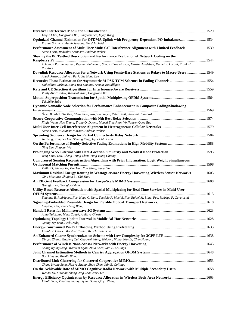| Yoojin Choi, Dongwoon Bai, Jungwon Lee, Inyup Kang                                                                                                  |  |
|-----------------------------------------------------------------------------------------------------------------------------------------------------|--|
| Optimized Channel Estimation for OFDMA Uplink with Frequency-Dependent I/Q Imbalance 1534<br>Pranav Sakulkar, Aamir Ishaque, Gerd Ascheid           |  |
| Performance Assessment of Multi User Multi Cell Interference Alignment with Limited Feedback  1539<br>Danish Aziz, Radoslav Atanasov, Andreas Weber |  |
| Sharing the Pi: Testbed Description and Performance Evaluation of Network Coding on the                                                             |  |
|                                                                                                                                                     |  |
| Achuthan Paramanathan, Peyman Pahlevani, Simon Thorsteinsson, Martin Hundebøll, Daniel E. Lucani, Frank H.<br>P. Fitzek                             |  |
| Downlink Resource Allocation for a Network Using Femto-Base Stations as Relays to Macro-Users 1549<br>Ayush Rastogi, Jinhyun Park, Jae Hong Lee     |  |
|                                                                                                                                                     |  |
| Slaheddine Jarboui, Emna Ben Slimane, Ammar Bouallègue                                                                                              |  |
|                                                                                                                                                     |  |
| Vitaly Abdrashitov, Wooseok Nam, Dongwoon Bai                                                                                                       |  |
| Takahiko Saba                                                                                                                                       |  |
| Dynamic Nomadic Node Selection for Performance Enhancement in Composite Fading/Shadowing                                                            |  |
|                                                                                                                                                     |  |
| Ömer Bulakci, Zhe Ren, Chan Zhou, Josef Eichinger, Peter Fertl, Slawomir Stanczak                                                                   |  |
| Xinjie Wang, Hao Zhang, Trung Q. Duong, Maged Elkashlan, Vo Nguyen Quoc Bao                                                                         |  |
|                                                                                                                                                     |  |
| Danish Aziz, Mustansir Mazhar, Andreas Weber                                                                                                        |  |
|                                                                                                                                                     |  |
| Jie Yang, Kanghee Lee, Shuang Feng, Hyuck M. Kwon                                                                                                   |  |
| Ning Sun, Jingxian Wu                                                                                                                               |  |
|                                                                                                                                                     |  |
| Jenq-Shiou Leu, Cheng-Tsung Chen, Tung-Hung Chiang                                                                                                  |  |
| <b>Compressed Sensing Reconstruction Algorithms with Prior Information: Logit Weight Simultaneous</b>                                               |  |
| Zhilin Li, Wenbo Xu, Yun Tian, Yue Wang, Jiaru Lin                                                                                                  |  |
| Maximum Residual Energy Routing in Wastage-Aware Energy Harvesting Wireless Sensor Networks 1603                                                    |  |
| Gina Martinez, Shufang Li, Chi Zhou                                                                                                                 |  |
| Byungju Lee, Byonghyo Shim                                                                                                                          |  |
| Utility-Based Resource Allocation with Spatial Multiplexing for Real Time Services in Multi-User                                                    |  |
| Emanuel B. Rodrigues, Fco. Hugo C. Neto, Tarcisio F. Maciel, Fco. Rafael M. Lima, Fco. Rodrigo P. Cavalcanti                                        |  |
|                                                                                                                                                     |  |
| Linglong Dai, Zhaocheng Wang                                                                                                                        |  |
|                                                                                                                                                     |  |
| Anup Talukdar, Mark Cudak, Amitava Ghosh                                                                                                            |  |
| Quang-My Tran, Arek Dadej                                                                                                                           |  |
| Yoshihisa Onoue, Morihiko Tamai, Keiichi Yasumoto                                                                                                   |  |
|                                                                                                                                                     |  |
| Dingyu Zhang, Gaofeng Cui, Chaowei Wang, Weidong Wang, Nan Li, Chen Huang                                                                           |  |
|                                                                                                                                                     |  |
| Chang Kyung Sung, Malcolm Egan, Zhuo Chen, Iain B. Collings                                                                                         |  |
|                                                                                                                                                     |  |
| Borching Su, Min-Yu Wang                                                                                                                            |  |
| Chang Kyung Sung, Jian A. Zhang, Zhuo Chen, Iain B. Collings                                                                                        |  |
| On the Achievable Rate of MIMO Cognitive Radio Network with Multiple Secondary Users  1658                                                          |  |
| Wenbo Xu, Xiaonan Zhang, Jing Zhai, Jiaru Lin                                                                                                       |  |
| Energy Efficiency Optimization by Resource Allocation in Wireless Body Area Networks  1663<br>Xiaoli Zhou, Tingting Zhang, Liyuan Song, Qinyu Zhang |  |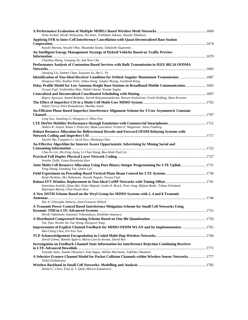| Panu Avakul, Hiroki Nishiyama, Nei Kato, Toshikazu Sakano, Atsushi Takahara                                                                                           |  |
|-----------------------------------------------------------------------------------------------------------------------------------------------------------------------|--|
| Applying FFR to Inter-Cell Interference Cancellation with Quasi-Decentralized Base Station                                                                            |  |
| Kazuki Maruta, Atsushi Ohta, Masataka Iizuka, Takatoshi Sugiyama                                                                                                      |  |
| An Intelligent Energy Management Strategy of Hybrid Vehicles Based on Traffic Preview                                                                                 |  |
| Chunhua Zheng, Guoqing Xu, Suk Won Cha                                                                                                                                |  |
| Performance Analysis of Contention Based Services with Bulk Transmission in IEEE 802.16 OFDMA                                                                         |  |
| Jianqing Liu, Sammy Chan, Xueyuan Su, Hai L. Vu                                                                                                                       |  |
| Identification of Non-Ideal Receiver Condition for Orbital Angular Momentum Transmission  1687<br>Dongwoo Shin, Eunhye Park, Jinkyu Kang, Jungho Myung, Joonhyuk Kang |  |
|                                                                                                                                                                       |  |
| Teruya Fujii, Yoshichika Ohta, Hideki Omote, Yosuke Sugita                                                                                                            |  |
|                                                                                                                                                                       |  |
| Rajeev Agrawal, Anand Bedekar, Suresh Kalyanasundaram, Naveen Arulselvan, Troels Kolding, Hans Kroener<br>Oskari Tervo, Petri Komulainen, Markku Juntti               |  |
| An Efficient Phase Based Imperfect Interference Alignment Scheme for 3-User Asymmetric Constant                                                                       |  |
|                                                                                                                                                                       |  |
| Long Suo, Jiandong Li, Hongyan Li, Miao Pan                                                                                                                           |  |
| Anders R. Jensen, Klaus I. Pedersen, Mads Lauridsen, Preben E. Mogensen, Janus Faaborg                                                                                |  |
| Robust Resource Allocation for Bidirectional Decode-and-Forward OFDM Relaying Systems with                                                                            |  |
|                                                                                                                                                                       |  |
| Xiaolin Ma, Fangmin Li, Jacek Ilow, Zhizhang Chen                                                                                                                     |  |
| An Effective Algorithm for Interest Aware Opportunistic Advertising by Mining Social and                                                                              |  |
|                                                                                                                                                                       |  |
| Chia-Yu Lin, Zhi-Feng Jiang, Li-Chun Wang, Bao-Shuh Paul Lin                                                                                                          |  |
| Semiha Tedik, Günes Karabulut Kurt                                                                                                                                    |  |
| Joint Multi-Cell Resource Allocation Using Pure Binary-Integer Programming for LTE Uplink 1731                                                                        |  |
| Tong Zhang, Xiaofeng Tao, Qimei Cui                                                                                                                                   |  |
| Kenji Hoshino, Sho Nabatame, Atsushi Nagate, Teruya Fujii                                                                                                             |  |
|                                                                                                                                                                       |  |
| Stanislaus Iwelski, Zijian Bai, Erfan Majeed, Guido H. Bruck, Peter Jung, Biljana Badic, Tobias Scholand,<br>Rajarajan Balraj, Chun-Hsuan Kuo                         |  |
| A New DSTM Scheme Based on the Weyl Group for MIMO Systems with 2, 4 and 8 Transmit                                                                                   |  |
| Hui Ji, Gheorghe Zaharia, Jean-François Hélard                                                                                                                        |  |
| A Transmit Power Control Based Interference Mitigation Scheme for Small Cell Networks Using                                                                           |  |
| Hiroki Takahashi, Kazunari Yokomakura, Kimihiko Imamura                                                                                                               |  |
| Yun Tian, Wenbo Xu, Yue Wang, Hongwen Yang                                                                                                                            |  |
| Improvement of Explicit Channel Feedback for MIMO-OFDM WLAN and Its Implementation 1761<br>Min-Ching Chen, Pei-Yun Tsai                                               |  |
| David Gómez, Ramón Agüero, Marta García-Arranz, David Ros                                                                                                             |  |
| Investigation on Feedback Channel State Information for Interference Rejection Combining Receiver                                                                     |  |
| Yousuke Sano, Yusuke Ohwatari, Yuta Sagae, Akihito Morimoto, Yukihiko Okumura                                                                                         |  |
| A Selective Erasure Channel Model for Packet Collision Channels within Wireless Sensor Networks 1777<br>Tallal Elshabrawy                                             |  |
| Daniel C. Chen, Tony Q. S. Quek, Marios Kountouris                                                                                                                    |  |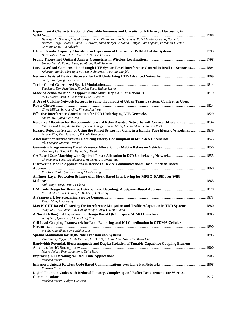| <b>Experimental Characterization of Wearable Antennas and Circuits for RF Energy Harvesting in</b><br>WBANs                                                                                                                                   |  |
|-----------------------------------------------------------------------------------------------------------------------------------------------------------------------------------------------------------------------------------------------|--|
| Henrique M. Saraiva, Luís M. Borges, Pedro Pinho, Ricardo Gonçalves, Raúl Chavéz-Santiago, Norberto<br>Barroca, Jorge Tavares, Paulo T. Gouveia, Nuno Borges Carvalho, Ilangko Balasingham, Fernando J. Velez,<br>Caroline Loss, Rita Salvado |  |
| H. Bawab, P. Mary, J.-F. Hélard, Y. Nasser, O. Bazzi                                                                                                                                                                                          |  |
| Samuel Van de Velde, Giuseppe Abreu, Heidi Steendam                                                                                                                                                                                           |  |
| Local Overload Compensation through LTE System Level Interference Control in Realistic Scenarios 1804<br>Sebastian Rohde, Christoph Ide, Tim Kolanczyk, Christian Wietfeld                                                                    |  |
| Shaoyi Xu, Kyung Sup Kwak                                                                                                                                                                                                                     |  |
|                                                                                                                                                                                                                                               |  |
| You Zhou, Dongfeng Yuan, Xiaotian Zhou, Haixia Zhang                                                                                                                                                                                          |  |
| M. C. Lucas-Estañ, J. Gozalvez, B. Coll-Perales<br>A Use of Cellular Network Records to Sense the Impact of Urban Transit Systems Comfort on Users                                                                                            |  |
| Chloé Milion, Sylvain Allio, Vincent Aguilera                                                                                                                                                                                                 |  |
|                                                                                                                                                                                                                                               |  |
| Shaoyi Xu, Kyung Sup Kwak                                                                                                                                                                                                                     |  |
| Resource Allocation for Decode-and-Forward Relay Assisted Networks with Service Differentiation  1834<br>Md Shamsul Alam, Amila Tharaperiya Gamage, Jon W. Mark, Xuemin Shen, Sangheon Pack                                                   |  |
| Hazard Detection System by Using the Kinect Sensor for Game in a Handle Type Electric Wheelchair 1839<br>Jeyeon Kim, Yuta Sakamoto, Takaaki Hasegawa                                                                                          |  |
| Pål Frenger, Mårten Ericson                                                                                                                                                                                                                   |  |
| Tianhang Fu, Shaoyi Xu, Kyung Sup Kwak                                                                                                                                                                                                        |  |
| Chengcheng Yang, Xiaodong Xu, Jiang Han, Xiaofeng Tao                                                                                                                                                                                         |  |
| Discovering Mobile Applications in Device-to-Device Communications: Hash Function-Based                                                                                                                                                       |  |
| Kae Won Choi, Hyun Lee, Sung Cheol Chang                                                                                                                                                                                                      |  |
| An Inter-Layer Protection Scheme with Block-Based Interleaving for MPEG-DASH over WiFi                                                                                                                                                        |  |
|                                                                                                                                                                                                                                               |  |
| Shih-Ying Chang, Hsin-Ta Chiao                                                                                                                                                                                                                |  |
| F. Lenkeit, C. Bockelmann, D. Wübben, A. Dekorsy                                                                                                                                                                                              |  |
|                                                                                                                                                                                                                                               |  |
| Zhitao Wan, Ping Wang                                                                                                                                                                                                                         |  |
| Max K-CUT Based Clustering for Interference Mitigation and Traffic Adaptation in TDD Systems 1880<br>Mingliang Tao, Qimei Cui, Yateng Hong, Chong Yin, Hui Liang                                                                              |  |
|                                                                                                                                                                                                                                               |  |
| Jiang Han, Qimei Cui, Chengcheng Yang<br>Cell Load Coupling Framework for Load Balancing and ICI Coordination in OFDMA Cellular                                                                                                               |  |
|                                                                                                                                                                                                                                               |  |
| Prabhu Chandhar, Suvra Sekhar Das                                                                                                                                                                                                             |  |
| Thu Phuong Nguyen, Minh Tuan Le, Vu-Duc Ngo, Xuan Nam Tran, Hae-Wook Choi                                                                                                                                                                     |  |
| Bandwidth Potential, Electromagnetic and Duplex Isolation of Tunable Capacitive Coupling Element                                                                                                                                              |  |
| Mauro Pelosi, Francescantonio Della Rosa                                                                                                                                                                                                      |  |
|                                                                                                                                                                                                                                               |  |
| Rouzbeh Razavi                                                                                                                                                                                                                                |  |
| Rouzbeh Razavi                                                                                                                                                                                                                                |  |
| Digital Fountain Codes with Reduced Latency, Complexity and Buffer Requirements for Wireless                                                                                                                                                  |  |
| Rouzbeh Razavi, Holger Claussen                                                                                                                                                                                                               |  |
|                                                                                                                                                                                                                                               |  |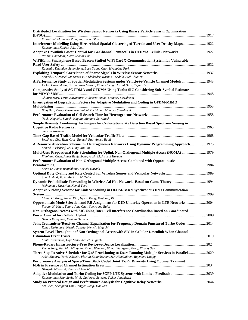| Distributed Localization for Wireless Sensor Networks Using Binary Particle Swarm Optimization                                                                                           |  |
|------------------------------------------------------------------------------------------------------------------------------------------------------------------------------------------|--|
| Ifa Fatihah Mohamed Zain, Soo Young Shin                                                                                                                                                 |  |
| Interference Modelling Using Hierarchical Spatial Clustering of Terrain and User Density Maps 1922<br>Konstantinos Koufos, Riku Jäntti                                                   |  |
| Adaptive Downlink Power Control for Co-Channel Femtocells in OFDMA Cellular Networks 1927<br>Prabhu Chandhar, Suvra Sekhar Das                                                           |  |
| WiFiHonk: Smartphone-Based Beacon Stuffed WiFi Car2X-Communication System for Vulnerable                                                                                                 |  |
| Kaustubh Dhondge, Sejun Song, Baek-Young Choi, Hyungbae Park                                                                                                                             |  |
| Ahmed S. Alwakeel, Mohamed F. Abdelkader, Karim G. Seddik, Atef Ghuniem                                                                                                                  |  |
| A Performance Study of Spatial Modulation Systems under Vehicle-to-Vehicle Channel Models  1943<br>Yu Fu, Cheng-Xiang Wang, Raed Mesleh, Xiang Cheng, Harald Haas, Yejun He              |  |
| <b>Comparative Study of SC-FDMA and OFDMA Using Turbo SIC Considering Soft-Symbol Estimate</b>                                                                                           |  |
| Chihiro Mori, Teruo Kawamura, Hidekazu Taoka, Mamoru Sawahashi                                                                                                                           |  |
| <b>Investigation of Degradation Factors for Adaptive Modulation and Coding in OFDM-MIMO</b>                                                                                              |  |
| Bing Han, Teruo Kawamura, Yuichi Kakishima, Mamoru Sawahashi                                                                                                                             |  |
| Naoki Noguchi, Satoshi Nagata, Mamoru Sawahashi                                                                                                                                          |  |
| Simple Diversity Combining Techniques for Cyclostationarity Detection Based Spectrum Sensing in                                                                                          |  |
| Shusuke Narieda                                                                                                                                                                          |  |
| Seokheon Cho, Rene Cruz, Ramesh Rao, Anush Badii                                                                                                                                         |  |
| A Resource Allocation Scheme for Heterogeneous Networks Using Dynamic Programming Approach 1973<br>Ahmed R. Elsherif, Zhi Ding, Xin Liu                                                  |  |
| Multi-User Proportional Fair Scheduling for Uplink Non-Orthogonal Multiple Access (NOMA)  1979<br>Xiaohang Chen, Anass Benjebbour, Anxin Li, Atsushi Harada                              |  |
| Performance Evaluation of Non-Orthogonal Multiple Access Combined with Opportunistic                                                                                                     |  |
|                                                                                                                                                                                          |  |
| Anxin Li, Anass Benjebbour, Atsushi Harada                                                                                                                                               |  |
| S. A. Arshad, M. A. Murtaza, M. Tahir                                                                                                                                                    |  |
| Mohammad Naserian, Kemal Tepe                                                                                                                                                            |  |
| Adaptive Yielding Scheme for Link Scheduling in OFDM-Based Synchronous D2D Communication                                                                                                 |  |
| Chung G. Kang, Jin W. Kim, Hye J. Kang, Minjoong Rim                                                                                                                                     |  |
| Opportunistic Mode Selection and RB Assignment for D2D Underlay Operation in LTE Networks 2004<br>Furgan H. Khan, Young-June Choi, Saewoong Bahk                                         |  |
| Non-Orthogonal Access with SIC Using Inter-Cell Interference Coordination Based on Coordinated                                                                                           |  |
| Hiromi Katayama, Kenichi Higuchi<br>Joint Transmitter/Receiver Channel Equalization for Frequency-Domain Punctured Turbo Codes 2014                                                      |  |
| Kengo Nakamura, Kazuki Takeda, Kenichi Higuchi                                                                                                                                           |  |
| System-Level Throughput of Non-Orthogonal Access with SIC in Cellular Downlink When Channel                                                                                              |  |
| Kenta Yamamoto, Yuya Saito, Kenichi Higuchi                                                                                                                                              |  |
|                                                                                                                                                                                          |  |
| Zheng Song, Jian Ma, Mingming Dong, Wendong Wang, Xiangyang Gong, Xirong Que<br>Three-Step Iterative Scheduler for QoS Provisioning to Users Running Multiple Services in Parallel  2029 |  |
| Ankit Bhamri, Navid Nikaein, Florian Kaltenberger, Jyri Hämäläinen, Raymond Knopp                                                                                                        |  |
| Performance Analysis of Space-Time Block Coded Joint Tx/Rx Diversity Using Optimal Transmit                                                                                              |  |
| Hiroyuki Miyazaki, Fumiyuki Adachi                                                                                                                                                       |  |
| Konstantinos Manolakis, M. A. Gutierrez-Estevez, Volker Jungnickel                                                                                                                       |  |
| Lei Chen, Shengnan Yan, Hongyu Wang, Tian Sun                                                                                                                                            |  |